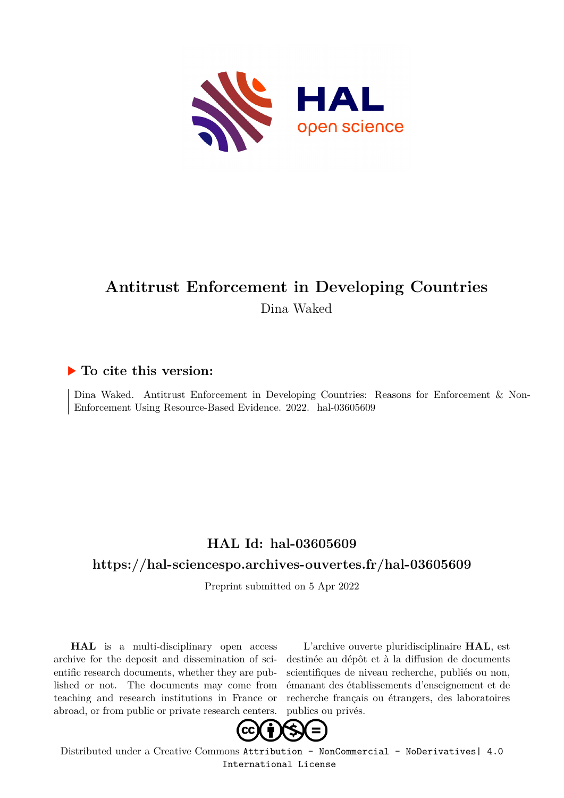

# **Antitrust Enforcement in Developing Countries** Dina Waked

## **To cite this version:**

Dina Waked. Antitrust Enforcement in Developing Countries: Reasons for Enforcement & Non-Enforcement Using Resource-Based Evidence. 2022. hal-03605609

## **HAL Id: hal-03605609**

## **<https://hal-sciencespo.archives-ouvertes.fr/hal-03605609>**

Preprint submitted on 5 Apr 2022

**HAL** is a multi-disciplinary open access archive for the deposit and dissemination of scientific research documents, whether they are published or not. The documents may come from teaching and research institutions in France or abroad, or from public or private research centers.

L'archive ouverte pluridisciplinaire **HAL**, est destinée au dépôt et à la diffusion de documents scientifiques de niveau recherche, publiés ou non, émanant des établissements d'enseignement et de recherche français ou étrangers, des laboratoires publics ou privés.



Distributed under a Creative Commons [Attribution - NonCommercial - NoDerivatives| 4.0](http://creativecommons.org/licenses/by-nc-nd/4.0/) [International License](http://creativecommons.org/licenses/by-nc-nd/4.0/)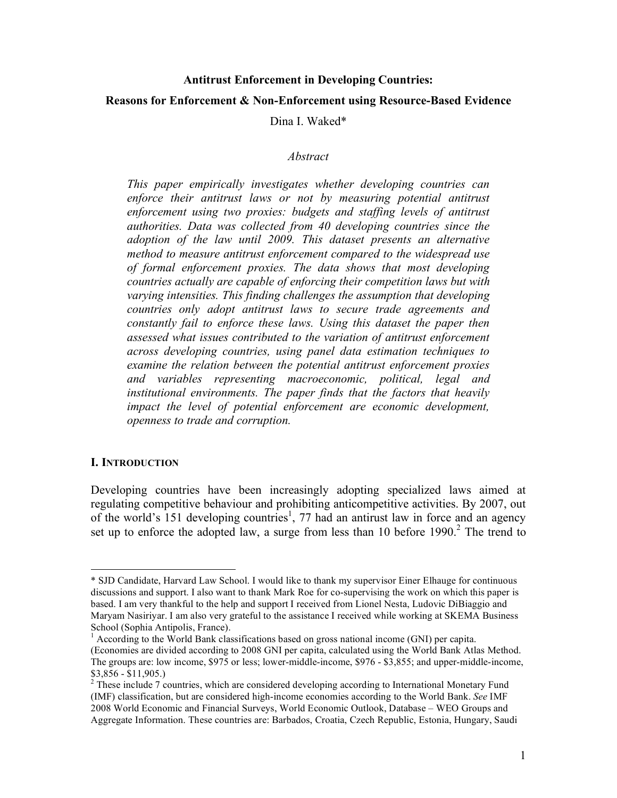#### **Antitrust Enforcement in Developing Countries:**

#### **Reasons for Enforcement & Non-Enforcement using Resource-Based Evidence**

Dina I. Waked\*

#### *Abstract*

*This paper empirically investigates whether developing countries can enforce their antitrust laws or not by measuring potential antitrust enforcement using two proxies: budgets and staffing levels of antitrust authorities. Data was collected from 40 developing countries since the adoption of the law until 2009. This dataset presents an alternative method to measure antitrust enforcement compared to the widespread use of formal enforcement proxies. The data shows that most developing countries actually are capable of enforcing their competition laws but with varying intensities. This finding challenges the assumption that developing countries only adopt antitrust laws to secure trade agreements and constantly fail to enforce these laws. Using this dataset the paper then assessed what issues contributed to the variation of antitrust enforcement across developing countries, using panel data estimation techniques to examine the relation between the potential antitrust enforcement proxies and variables representing macroeconomic, political, legal and institutional environments. The paper finds that the factors that heavily impact the level of potential enforcement are economic development, openness to trade and corruption.* 

#### **I. INTRODUCTION**

Developing countries have been increasingly adopting specialized laws aimed at regulating competitive behaviour and prohibiting anticompetitive activities. By 2007, out of the world's  $151$  developing countries<sup>1</sup>, 77 had an antirust law in force and an agency set up to enforce the adopted law, a surge from less than  $10$  before  $1990$ .<sup>2</sup> The trend to

<sup>\*</sup> SJD Candidate, Harvard Law School. I would like to thank my supervisor Einer Elhauge for continuous discussions and support. I also want to thank Mark Roe for co-supervising the work on which this paper is based. I am very thankful to the help and support I received from Lionel Nesta, Ludovic DiBiaggio and Maryam Nasiriyar. I am also very grateful to the assistance I received while working at SKEMA Business School (Sophia Antipolis, France).

<sup>&</sup>lt;sup>1</sup> According to the World Bank classifications based on gross national income (GNI) per capita. (Economies are divided according to 2008 GNI per capita, calculated using the World Bank Atlas Method. The groups are: low income, \$975 or less; lower-middle-income, \$976 - \$3,855; and upper-middle-income,  $$3,856 - $11,905.$ 

<sup>&</sup>lt;sup>2</sup> These include 7 countries, which are considered developing according to International Monetary Fund (IMF) classification, but are considered high-income economies according to the World Bank. *See* IMF 2008 World Economic and Financial Surveys, World Economic Outlook, Database – WEO Groups and Aggregate Information. These countries are: Barbados, Croatia, Czech Republic, Estonia, Hungary, Saudi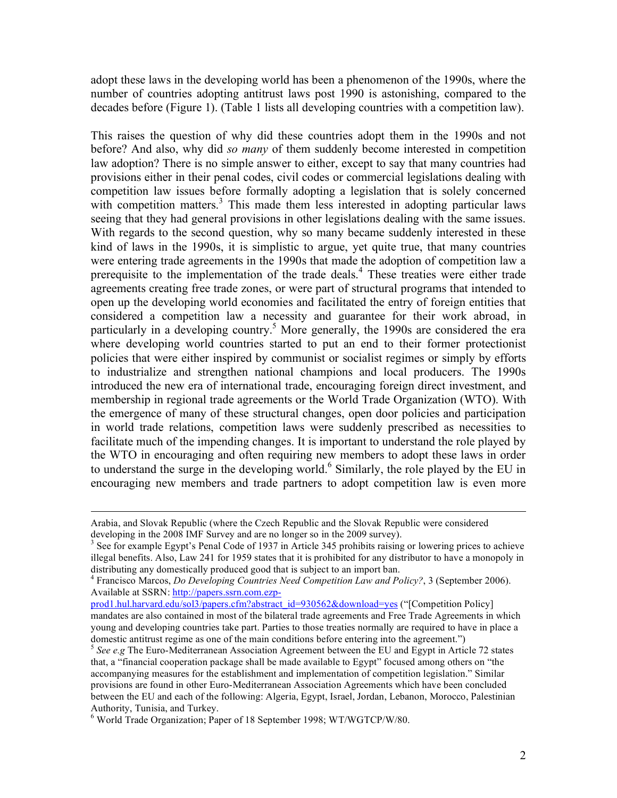adopt these laws in the developing world has been a phenomenon of the 1990s, where the number of countries adopting antitrust laws post 1990 is astonishing, compared to the decades before (Figure 1). (Table 1 lists all developing countries with a competition law).

This raises the question of why did these countries adopt them in the 1990s and not before? And also, why did *so many* of them suddenly become interested in competition law adoption? There is no simple answer to either, except to say that many countries had provisions either in their penal codes, civil codes or commercial legislations dealing with competition law issues before formally adopting a legislation that is solely concerned with competition matters.<sup>3</sup> This made them less interested in adopting particular laws seeing that they had general provisions in other legislations dealing with the same issues. With regards to the second question, why so many became suddenly interested in these kind of laws in the 1990s, it is simplistic to argue, yet quite true, that many countries were entering trade agreements in the 1990s that made the adoption of competition law a prerequisite to the implementation of the trade deals.<sup>4</sup> These treaties were either trade agreements creating free trade zones, or were part of structural programs that intended to open up the developing world economies and facilitated the entry of foreign entities that considered a competition law a necessity and guarantee for their work abroad, in particularly in a developing country.<sup>5</sup> More generally, the 1990s are considered the era where developing world countries started to put an end to their former protectionist policies that were either inspired by communist or socialist regimes or simply by efforts to industrialize and strengthen national champions and local producers. The 1990s introduced the new era of international trade, encouraging foreign direct investment, and membership in regional trade agreements or the World Trade Organization (WTO). With the emergence of many of these structural changes, open door policies and participation in world trade relations, competition laws were suddenly prescribed as necessities to facilitate much of the impending changes. It is important to understand the role played by the WTO in encouraging and often requiring new members to adopt these laws in order to understand the surge in the developing world.<sup>6</sup> Similarly, the role played by the EU in encouraging new members and trade partners to adopt competition law is even more

Arabia, and Slovak Republic (where the Czech Republic and the Slovak Republic were considered developing in the 2008 IMF Survey and are no longer so in the 2009 survey).

<sup>&</sup>lt;sup>3</sup> See for example Egypt's Penal Code of 1937 in Article 345 prohibits raising or lowering prices to achieve illegal benefits. Also, Law 241 for 1959 states that it is prohibited for any distributor to have a monopoly in distributing any domestically produced good that is subject to an import ban.

<sup>4</sup> Francisco Marcos, *Do Developing Countries Need Competition Law and Policy?*, 3 (September 2006). Available at SSRN: http://papers.ssrn.com.ezp-

prod1.hul.harvard.edu/sol3/papers.cfm?abstract\_id=930562&download=yes ("[Competition Policy] mandates are also contained in most of the bilateral trade agreements and Free Trade Agreements in which young and developing countries take part. Parties to those treaties normally are required to have in place a domestic antitrust regime as one of the main conditions before entering into the agreement.")

<sup>5</sup> *See e.g* The Euro-Mediterranean Association Agreement between the EU and Egypt in Article 72 states that, a "financial cooperation package shall be made available to Egypt" focused among others on "the accompanying measures for the establishment and implementation of competition legislation." Similar provisions are found in other Euro-Mediterranean Association Agreements which have been concluded between the EU and each of the following: Algeria, Egypt, Israel, Jordan, Lebanon, Morocco, Palestinian Authority, Tunisia, and Turkey. <sup>6</sup>

World Trade Organization; Paper of 18 September 1998; WT/WGTCP/W/80.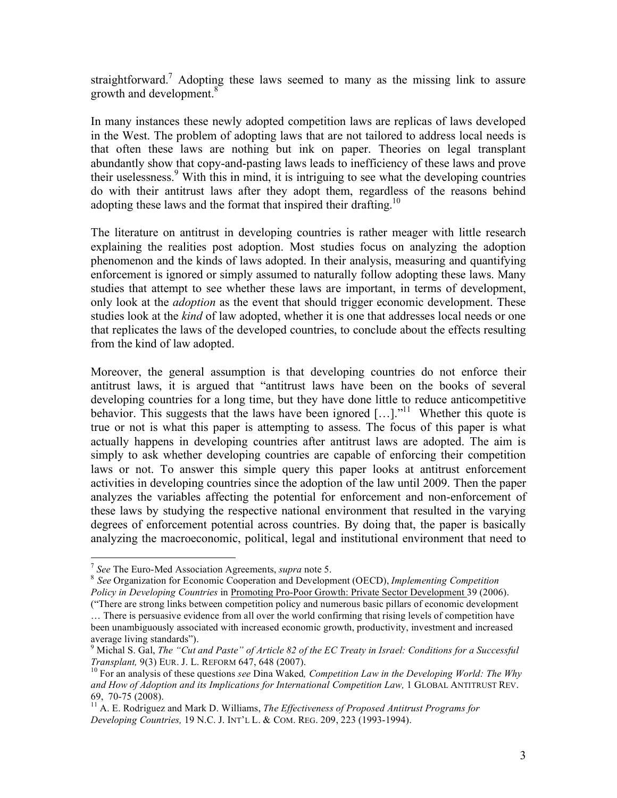straightforward.<sup>7</sup> Adopting these laws seemed to many as the missing link to assure growth and development.<sup>8</sup>

In many instances these newly adopted competition laws are replicas of laws developed in the West. The problem of adopting laws that are not tailored to address local needs is that often these laws are nothing but ink on paper. Theories on legal transplant abundantly show that copy-and-pasting laws leads to inefficiency of these laws and prove their uselessness.<sup>9</sup> With this in mind, it is intriguing to see what the developing countries do with their antitrust laws after they adopt them, regardless of the reasons behind adopting these laws and the format that inspired their drafting.<sup>10</sup>

The literature on antitrust in developing countries is rather meager with little research explaining the realities post adoption. Most studies focus on analyzing the adoption phenomenon and the kinds of laws adopted. In their analysis, measuring and quantifying enforcement is ignored or simply assumed to naturally follow adopting these laws. Many studies that attempt to see whether these laws are important, in terms of development, only look at the *adoption* as the event that should trigger economic development. These studies look at the *kind* of law adopted, whether it is one that addresses local needs or one that replicates the laws of the developed countries, to conclude about the effects resulting from the kind of law adopted.

Moreover, the general assumption is that developing countries do not enforce their antitrust laws, it is argued that "antitrust laws have been on the books of several developing countries for a long time, but they have done little to reduce anticompetitive behavior. This suggests that the laws have been ignored  $[\dots]$ <sup>11</sup>. Whether this quote is true or not is what this paper is attempting to assess. The focus of this paper is what actually happens in developing countries after antitrust laws are adopted. The aim is simply to ask whether developing countries are capable of enforcing their competition laws or not. To answer this simple query this paper looks at antitrust enforcement activities in developing countries since the adoption of the law until 2009. Then the paper analyzes the variables affecting the potential for enforcement and non-enforcement of these laws by studying the respective national environment that resulted in the varying degrees of enforcement potential across countries. By doing that, the paper is basically analyzing the macroeconomic, political, legal and institutional environment that need to

<sup>7</sup> *See* The Euro-Med Association Agreements, *supra* note 5. 8 *See* Organization for Economic Cooperation and Development (OECD), *Implementing Competition Policy in Developing Countries* in Promoting Pro-Poor Growth: Private Sector Development 39 (2006).

<sup>(&</sup>quot;There are strong links between competition policy and numerous basic pillars of economic development … There is persuasive evidence from all over the world confirming that rising levels of competition have

been unambiguously associated with increased economic growth, productivity, investment and increased average living standards").

<sup>9</sup> Michal S. Gal, *The "Cut and Paste" of Article 82 of the EC Treaty in Israel: Conditions for a Successful Transplant,* 9(3) EUR. J. L. REFORM 647, 648 (2007).<br><sup>10</sup> For an analysis of these questions *see* Dina Waked, *Competition Law in the Developing World: The Why* 

and How of Adoption and its Implications for International Competition Law, 1 GLOBAL ANTITRUST REV. 69, 70-75 (2008). 11 A. E. Rodriguez and Mark D. Williams, *The Effectiveness of Proposed Antitrust Programs for* 

*Developing Countries,* 19 N.C. J. INT'L L. & COM. REG. 209, 223 (1993-1994).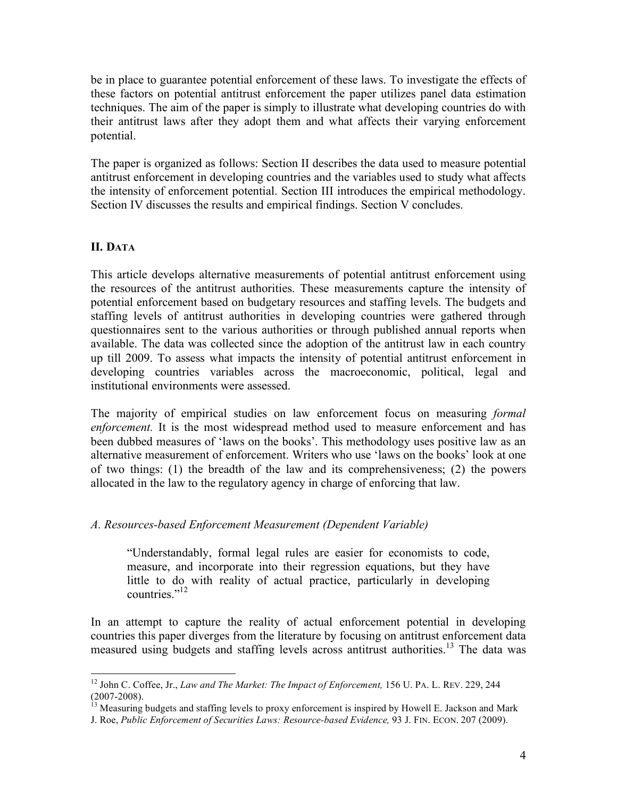be in place to guarantee potential enforcement of these laws. To investigate the effects of these factors on potential antitrust enforcement the paper utilizes panel data estimation techniques. The aim of the paper is simply to illustrate what developing countries do with their antitrust laws after they adopt them and what affects their varying enforcement potential.

The paper is organized as follows: Section II describes the data used to measure potential antitrust enforcement in developing countries and the variables used to study what affects the intensity of enforcement potential. Section III introduces the empirical methodology. Section IV discusses the results and empirical findings. Section V concludes.

### **II. DATA**

This article develops alternative measurements of potential antitrust enforcement using the resources of the antitrust authorities. These measurements capture the intensity of potential enforcement based on budgetary resources and staffing levels. The budgets and staffing levels of antitrust authorities in developing countries were gathered through questionnaires sent to the various authorities or through published annual reports when available. The data was collected since the adoption of the antitrust law in each country up till 2009. To assess what impacts the intensity of potential antitrust enforcement in developing countries variables across the macroeconomic, political, legal and institutional environments were assessed.

The majority of empirical studies on law enforcement focus on measuring *formal enforcement.* It is the most widespread method used to measure enforcement and has been dubbed measures of 'laws on the books'. This methodology uses positive law as an alternative measurement of enforcement. Writers who use 'laws on the books' look at one of two things: (1) the breadth of the law and its comprehensiveness; (2) the powers allocated in the law to the regulatory agency in charge of enforcing that law.

#### *A. Resources-based Enforcement Measurement (Dependent Variable)*

"Understandably, formal legal rules are easier for economists to code, measure, and incorporate into their regression equations, but they have little to do with reality of actual practice, particularly in developing countries<sup>"12</sup>

In an attempt to capture the reality of actual enforcement potential in developing countries this paper diverges from the literature by focusing on antitrust enforcement data measured using budgets and staffing levels across antitrust authorities.<sup>13</sup> The data was

<sup>&</sup>lt;sup>12</sup> John C. Coffee, Jr., *Law and The Market: The Impact of Enforcement*, 156 U. PA. L. REV. 229, 244 (2007-2008).<br>(<sup>13</sup> Measuring budgets and *at fine budgets* and *the Contractional* 

Measuring budgets and staffing levels to proxy enforcement is inspired by Howell E. Jackson and Mark

J. Roe, *Public Enforcement of Securities Laws: Resource-based Evidence,* 93 J. FIN. ECON. 207 (2009).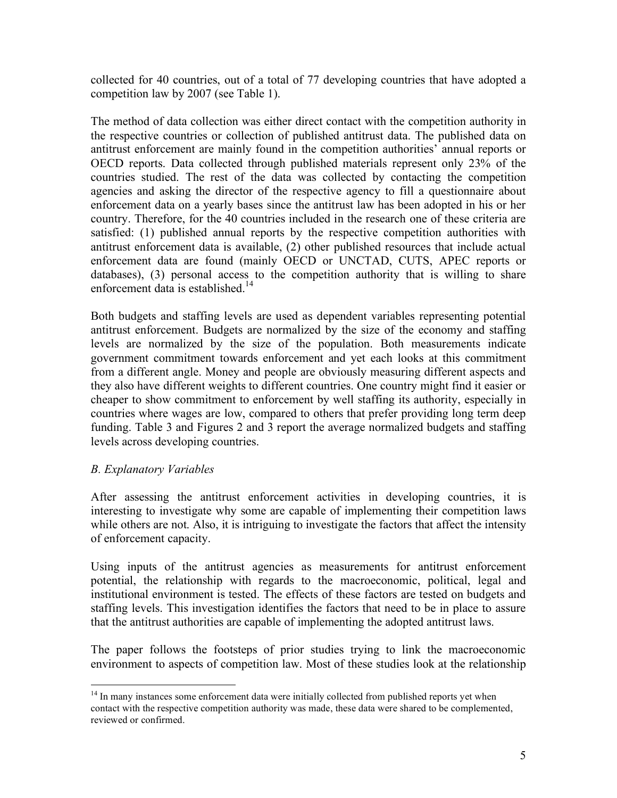collected for 40 countries, out of a total of 77 developing countries that have adopted a competition law by 2007 (see Table 1).

The method of data collection was either direct contact with the competition authority in the respective countries or collection of published antitrust data. The published data on antitrust enforcement are mainly found in the competition authorities' annual reports or OECD reports. Data collected through published materials represent only 23% of the countries studied. The rest of the data was collected by contacting the competition agencies and asking the director of the respective agency to fill a questionnaire about enforcement data on a yearly bases since the antitrust law has been adopted in his or her country. Therefore, for the 40 countries included in the research one of these criteria are satisfied: (1) published annual reports by the respective competition authorities with antitrust enforcement data is available, (2) other published resources that include actual enforcement data are found (mainly OECD or UNCTAD, CUTS, APEC reports or databases), (3) personal access to the competition authority that is willing to share enforcement data is established.<sup>14</sup>

Both budgets and staffing levels are used as dependent variables representing potential antitrust enforcement. Budgets are normalized by the size of the economy and staffing levels are normalized by the size of the population. Both measurements indicate government commitment towards enforcement and yet each looks at this commitment from a different angle. Money and people are obviously measuring different aspects and they also have different weights to different countries. One country might find it easier or cheaper to show commitment to enforcement by well staffing its authority, especially in countries where wages are low, compared to others that prefer providing long term deep funding. Table 3 and Figures 2 and 3 report the average normalized budgets and staffing levels across developing countries.

### *B. Explanatory Variables*

After assessing the antitrust enforcement activities in developing countries, it is interesting to investigate why some are capable of implementing their competition laws while others are not. Also, it is intriguing to investigate the factors that affect the intensity of enforcement capacity.

Using inputs of the antitrust agencies as measurements for antitrust enforcement potential, the relationship with regards to the macroeconomic, political, legal and institutional environment is tested. The effects of these factors are tested on budgets and staffing levels. This investigation identifies the factors that need to be in place to assure that the antitrust authorities are capable of implementing the adopted antitrust laws.

The paper follows the footsteps of prior studies trying to link the macroeconomic environment to aspects of competition law. Most of these studies look at the relationship

<sup>&</sup>lt;sup>14</sup> In many instances some enforcement data were initially collected from published reports yet when contact with the respective competition authority was made, these data were shared to be complemented, reviewed or confirmed.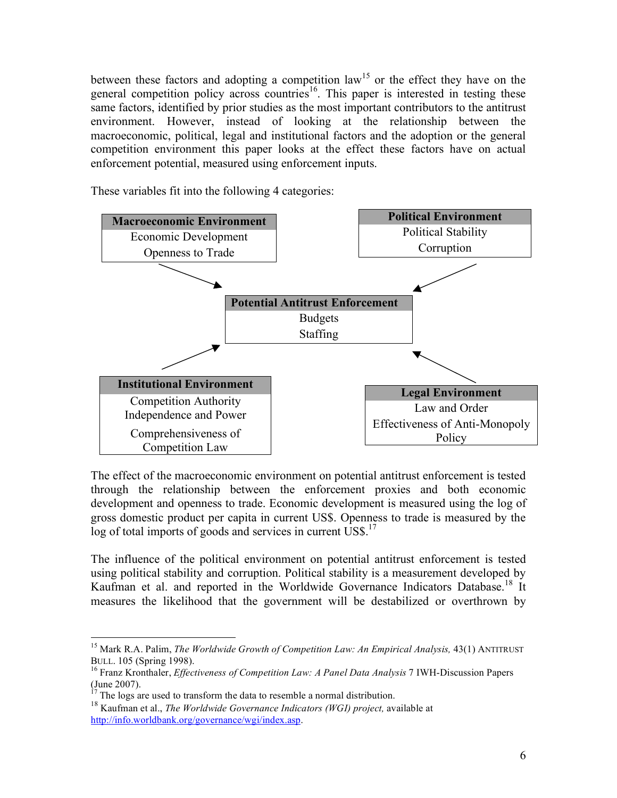between these factors and adopting a competition  $law<sup>15</sup>$  or the effect they have on the general competition policy across countries<sup>16</sup>. This paper is interested in testing these same factors, identified by prior studies as the most important contributors to the antitrust environment. However, instead of looking at the relationship between the macroeconomic, political, legal and institutional factors and the adoption or the general competition environment this paper looks at the effect these factors have on actual enforcement potential, measured using enforcement inputs.

These variables fit into the following 4 categories:



The effect of the macroeconomic environment on potential antitrust enforcement is tested through the relationship between the enforcement proxies and both economic development and openness to trade. Economic development is measured using the log of gross domestic product per capita in current US\$. Openness to trade is measured by the log of total imports of goods and services in current US\$.<sup>17</sup>

The influence of the political environment on potential antitrust enforcement is tested using political stability and corruption. Political stability is a measurement developed by Kaufman et al. and reported in the Worldwide Governance Indicators Database.<sup>18</sup> It measures the likelihood that the government will be destabilized or overthrown by

<sup>&</sup>lt;sup>15</sup> Mark R.A. Palim, *The Worldwide Growth of Competition Law: An Empirical Analysis*, 43(1) ANTITRUST BULL. 105 (Spring 1998).

<sup>&</sup>lt;sup>16</sup> Franz Kronthaler, *Effectiveness of Competition Law: A Panel Data Analysis 7* IWH-Discussion Papers (June 2007).

 $17$  The logs are used to transform the data to resemble a normal distribution.

<sup>&</sup>lt;sup>18</sup> Kaufman et al., *The Worldwide Governance Indicators (WGI) project*, available at http://info.worldbank.org/governance/wgi/index.asp.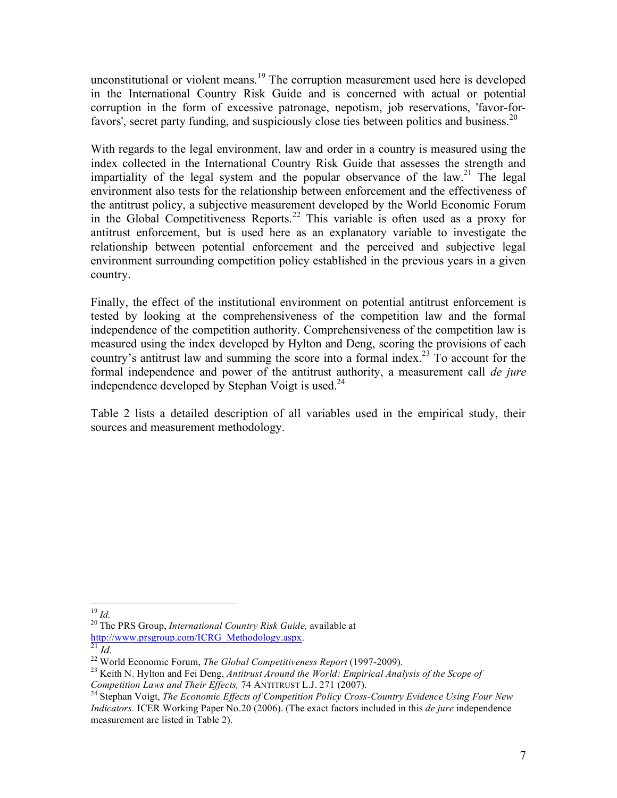unconstitutional or violent means.<sup>19</sup> The corruption measurement used here is developed in the International Country Risk Guide and is concerned with actual or potential corruption in the form of excessive patronage, nepotism, job reservations, 'favor-forfavors', secret party funding, and suspiciously close ties between politics and business.<sup>20</sup>

With regards to the legal environment, law and order in a country is measured using the index collected in the International Country Risk Guide that assesses the strength and impartiality of the legal system and the popular observance of the law.<sup>21</sup> The legal environment also tests for the relationship between enforcement and the effectiveness of the antitrust policy, a subjective measurement developed by the World Economic Forum in the Global Competitiveness Reports.<sup>22</sup> This variable is often used as a proxy for antitrust enforcement, but is used here as an explanatory variable to investigate the relationship between potential enforcement and the perceived and subjective legal environment surrounding competition policy established in the previous years in a given country.

Finally, the effect of the institutional environment on potential antitrust enforcement is tested by looking at the comprehensiveness of the competition law and the formal independence of the competition authority. Comprehensiveness of the competition law is measured using the index developed by Hylton and Deng, scoring the provisions of each country's antitrust law and summing the score into a formal index.<sup>23</sup> To account for the formal independence and power of the antitrust authority, a measurement call *de jure*  independence developed by Stephan Voigt is used. $^{24}$ 

Table 2 lists a detailed description of all variables used in the empirical study, their sources and measurement methodology.

<sup>&</sup>lt;sup>19</sup> *Id.* <sup>20</sup> The PRS Group, *International Country Risk Guide*, available at **http://www.prsgroup.com/ICRG** Methodology.aspx.

<sup>&</sup>lt;sup>21</sup> *Id.*<br><sup>22</sup> World Economic Forum, *The Global Competitiveness Report* (1997-2009).<br><sup>23</sup> Keith N. Hylton and Fei Deng, *Antitrust Around the World: Empirical Analysis of the Scope of Competition Laws and Their Effects,* 74 ANTITRUST L.J. 271 (2007).<br><sup>24</sup> Stephan Voigt, *The Economic Effects of Competition Policy Cross-Country Evidence Using Four New* 

*Indicators.* ICER Working Paper No.20 (2006). (The exact factors included in this *de jure* independence measurement are listed in Table 2).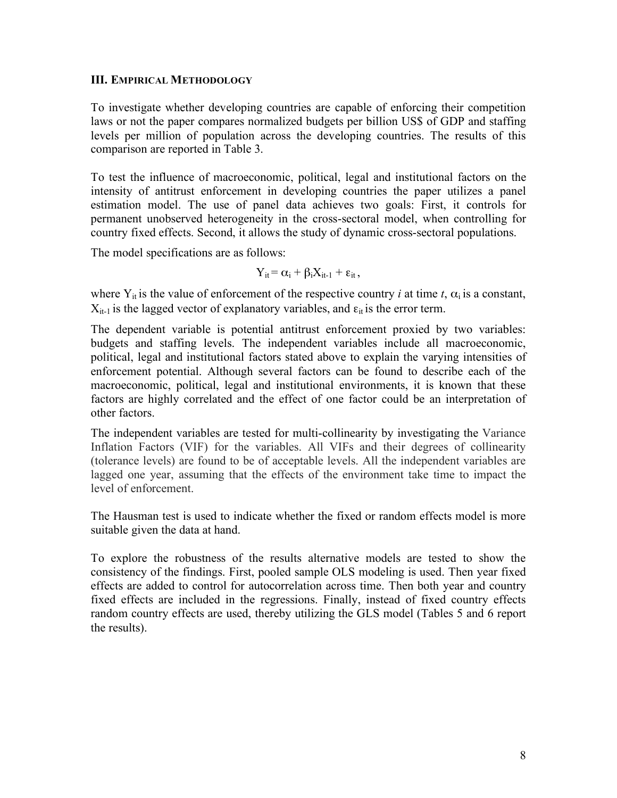#### **III. EMPIRICAL METHODOLOGY**

To investigate whether developing countries are capable of enforcing their competition laws or not the paper compares normalized budgets per billion US\$ of GDP and staffing levels per million of population across the developing countries. The results of this comparison are reported in Table 3.

To test the influence of macroeconomic, political, legal and institutional factors on the intensity of antitrust enforcement in developing countries the paper utilizes a panel estimation model. The use of panel data achieves two goals: First, it controls for permanent unobserved heterogeneity in the cross-sectoral model, when controlling for country fixed effects. Second, it allows the study of dynamic cross-sectoral populations.

The model specifications are as follows:

$$
Y_{it} = \alpha_i + \beta_i X_{it-1} + \epsilon_{it},
$$

where  $Y_{it}$  is the value of enforcement of the respective country *i* at time *t*,  $\alpha_i$  is a constant,  $X_{it-1}$  is the lagged vector of explanatory variables, and  $\varepsilon_{it}$  is the error term.

The dependent variable is potential antitrust enforcement proxied by two variables: budgets and staffing levels. The independent variables include all macroeconomic, political, legal and institutional factors stated above to explain the varying intensities of enforcement potential. Although several factors can be found to describe each of the macroeconomic, political, legal and institutional environments, it is known that these factors are highly correlated and the effect of one factor could be an interpretation of other factors.

The independent variables are tested for multi-collinearity by investigating the Variance Inflation Factors (VIF) for the variables. All VIFs and their degrees of collinearity (tolerance levels) are found to be of acceptable levels. All the independent variables are lagged one year, assuming that the effects of the environment take time to impact the level of enforcement.

The Hausman test is used to indicate whether the fixed or random effects model is more suitable given the data at hand.

To explore the robustness of the results alternative models are tested to show the consistency of the findings. First, pooled sample OLS modeling is used. Then year fixed effects are added to control for autocorrelation across time. Then both year and country fixed effects are included in the regressions. Finally, instead of fixed country effects random country effects are used, thereby utilizing the GLS model (Tables 5 and 6 report the results).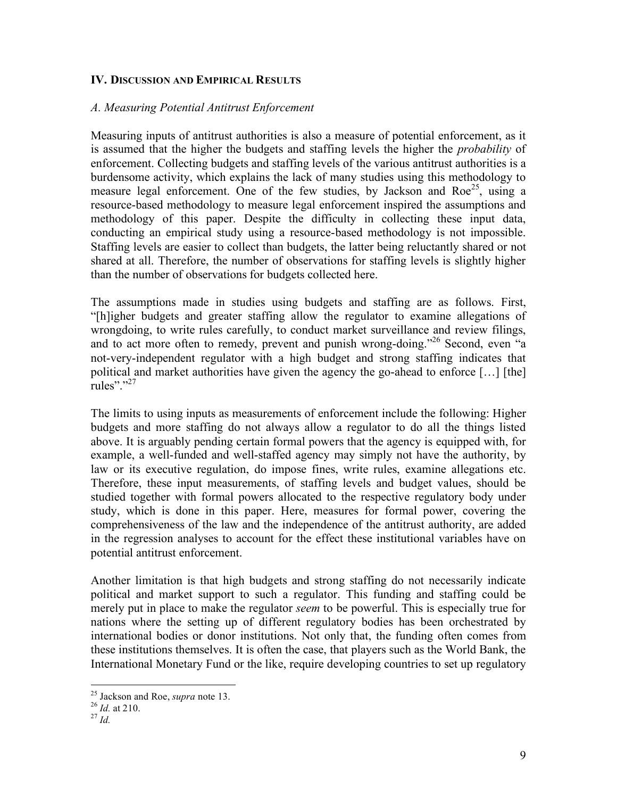#### **IV. DISCUSSION AND EMPIRICAL RESULTS**

#### *A. Measuring Potential Antitrust Enforcement*

Measuring inputs of antitrust authorities is also a measure of potential enforcement, as it is assumed that the higher the budgets and staffing levels the higher the *probability* of enforcement. Collecting budgets and staffing levels of the various antitrust authorities is a burdensome activity, which explains the lack of many studies using this methodology to measure legal enforcement. One of the few studies, by Jackson and  $Roe^{25}$ , using a resource-based methodology to measure legal enforcement inspired the assumptions and methodology of this paper. Despite the difficulty in collecting these input data, conducting an empirical study using a resource-based methodology is not impossible. Staffing levels are easier to collect than budgets, the latter being reluctantly shared or not shared at all. Therefore, the number of observations for staffing levels is slightly higher than the number of observations for budgets collected here.

The assumptions made in studies using budgets and staffing are as follows. First, "[h]igher budgets and greater staffing allow the regulator to examine allegations of wrongdoing, to write rules carefully, to conduct market surveillance and review filings, and to act more often to remedy, prevent and punish wrong-doing."26 Second, even "a not-very-independent regulator with a high budget and strong staffing indicates that political and market authorities have given the agency the go-ahead to enforce […] [the] rules"."<sup>27</sup>

The limits to using inputs as measurements of enforcement include the following: Higher budgets and more staffing do not always allow a regulator to do all the things listed above. It is arguably pending certain formal powers that the agency is equipped with, for example, a well-funded and well-staffed agency may simply not have the authority, by law or its executive regulation, do impose fines, write rules, examine allegations etc. Therefore, these input measurements, of staffing levels and budget values, should be studied together with formal powers allocated to the respective regulatory body under study, which is done in this paper. Here, measures for formal power, covering the comprehensiveness of the law and the independence of the antitrust authority, are added in the regression analyses to account for the effect these institutional variables have on potential antitrust enforcement.

Another limitation is that high budgets and strong staffing do not necessarily indicate political and market support to such a regulator. This funding and staffing could be merely put in place to make the regulator *seem* to be powerful. This is especially true for nations where the setting up of different regulatory bodies has been orchestrated by international bodies or donor institutions. Not only that, the funding often comes from these institutions themselves. It is often the case, that players such as the World Bank, the International Monetary Fund or the like, require developing countries to set up regulatory

<sup>25</sup> Jackson and Roe, *supra* note 13. <sup>26</sup> *Id.* at 210. 27 *Id.*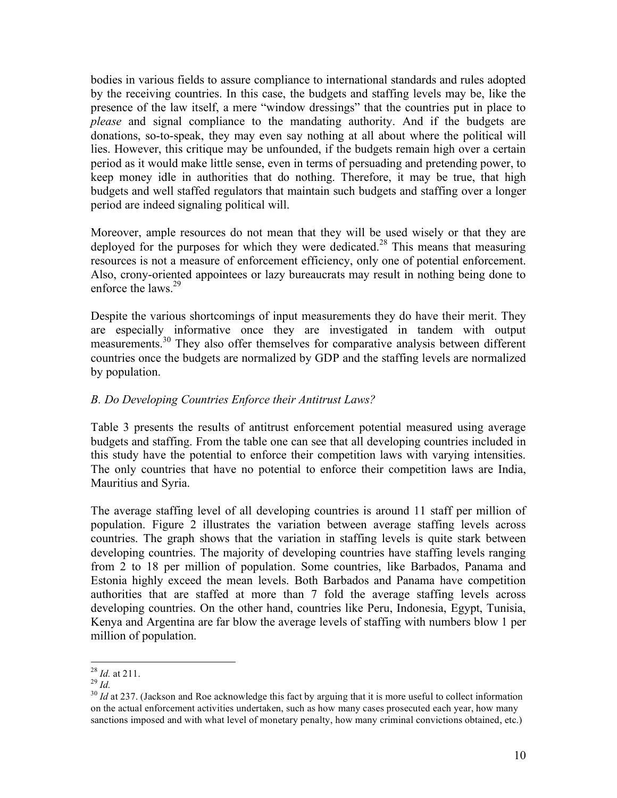bodies in various fields to assure compliance to international standards and rules adopted by the receiving countries. In this case, the budgets and staffing levels may be, like the presence of the law itself, a mere "window dressings" that the countries put in place to *please* and signal compliance to the mandating authority. And if the budgets are donations, so-to-speak, they may even say nothing at all about where the political will lies. However, this critique may be unfounded, if the budgets remain high over a certain period as it would make little sense, even in terms of persuading and pretending power, to keep money idle in authorities that do nothing. Therefore, it may be true, that high budgets and well staffed regulators that maintain such budgets and staffing over a longer period are indeed signaling political will.

Moreover, ample resources do not mean that they will be used wisely or that they are deployed for the purposes for which they were dedicated.<sup>28</sup> This means that measuring resources is not a measure of enforcement efficiency, only one of potential enforcement. Also, crony-oriented appointees or lazy bureaucrats may result in nothing being done to enforce the laws.<sup>29</sup>

Despite the various shortcomings of input measurements they do have their merit. They are especially informative once they are investigated in tandem with output measurements.<sup>30</sup> They also offer themselves for comparative analysis between different countries once the budgets are normalized by GDP and the staffing levels are normalized by population.

### *B. Do Developing Countries Enforce their Antitrust Laws?*

Table 3 presents the results of antitrust enforcement potential measured using average budgets and staffing. From the table one can see that all developing countries included in this study have the potential to enforce their competition laws with varying intensities. The only countries that have no potential to enforce their competition laws are India, Mauritius and Syria.

The average staffing level of all developing countries is around 11 staff per million of population. Figure 2 illustrates the variation between average staffing levels across countries. The graph shows that the variation in staffing levels is quite stark between developing countries. The majority of developing countries have staffing levels ranging from 2 to 18 per million of population. Some countries, like Barbados, Panama and Estonia highly exceed the mean levels. Both Barbados and Panama have competition authorities that are staffed at more than 7 fold the average staffing levels across developing countries. On the other hand, countries like Peru, Indonesia, Egypt, Tunisia, Kenya and Argentina are far blow the average levels of staffing with numbers blow 1 per million of population.

<sup>&</sup>lt;sup>28</sup> *Id.* at 211.<br><sup>29</sup> *Id.*<br><sup>30</sup> *Id* at 237. (Jackson and Roe acknowledge this fact by arguing that it is more useful to collect information on the actual enforcement activities undertaken, such as how many cases prosecuted each year, how many sanctions imposed and with what level of monetary penalty, how many criminal convictions obtained, etc.)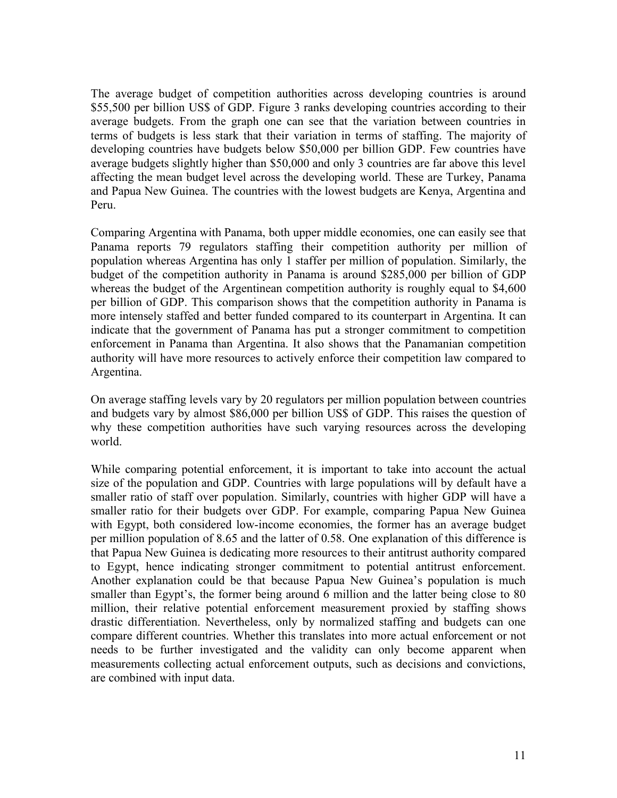The average budget of competition authorities across developing countries is around \$55,500 per billion US\$ of GDP. Figure 3 ranks developing countries according to their average budgets. From the graph one can see that the variation between countries in terms of budgets is less stark that their variation in terms of staffing. The majority of developing countries have budgets below \$50,000 per billion GDP. Few countries have average budgets slightly higher than \$50,000 and only 3 countries are far above this level affecting the mean budget level across the developing world. These are Turkey, Panama and Papua New Guinea. The countries with the lowest budgets are Kenya, Argentina and Peru.

Comparing Argentina with Panama, both upper middle economies, one can easily see that Panama reports 79 regulators staffing their competition authority per million of population whereas Argentina has only 1 staffer per million of population. Similarly, the budget of the competition authority in Panama is around \$285,000 per billion of GDP whereas the budget of the Argentinean competition authority is roughly equal to \$4,600 per billion of GDP. This comparison shows that the competition authority in Panama is more intensely staffed and better funded compared to its counterpart in Argentina. It can indicate that the government of Panama has put a stronger commitment to competition enforcement in Panama than Argentina. It also shows that the Panamanian competition authority will have more resources to actively enforce their competition law compared to Argentina.

On average staffing levels vary by 20 regulators per million population between countries and budgets vary by almost \$86,000 per billion US\$ of GDP. This raises the question of why these competition authorities have such varying resources across the developing world.

While comparing potential enforcement, it is important to take into account the actual size of the population and GDP. Countries with large populations will by default have a smaller ratio of staff over population. Similarly, countries with higher GDP will have a smaller ratio for their budgets over GDP. For example, comparing Papua New Guinea with Egypt, both considered low-income economies, the former has an average budget per million population of 8.65 and the latter of 0.58. One explanation of this difference is that Papua New Guinea is dedicating more resources to their antitrust authority compared to Egypt, hence indicating stronger commitment to potential antitrust enforcement. Another explanation could be that because Papua New Guinea's population is much smaller than Egypt's, the former being around 6 million and the latter being close to 80 million, their relative potential enforcement measurement proxied by staffing shows drastic differentiation. Nevertheless, only by normalized staffing and budgets can one compare different countries. Whether this translates into more actual enforcement or not needs to be further investigated and the validity can only become apparent when measurements collecting actual enforcement outputs, such as decisions and convictions, are combined with input data.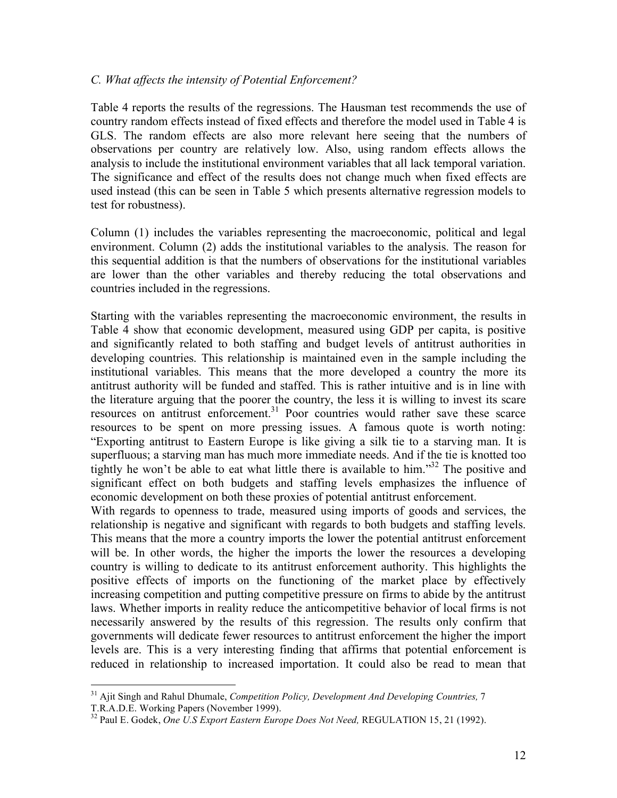#### *C. What affects the intensity of Potential Enforcement?*

Table 4 reports the results of the regressions. The Hausman test recommends the use of country random effects instead of fixed effects and therefore the model used in Table 4 is GLS. The random effects are also more relevant here seeing that the numbers of observations per country are relatively low. Also, using random effects allows the analysis to include the institutional environment variables that all lack temporal variation. The significance and effect of the results does not change much when fixed effects are used instead (this can be seen in Table 5 which presents alternative regression models to test for robustness).

Column (1) includes the variables representing the macroeconomic, political and legal environment. Column (2) adds the institutional variables to the analysis. The reason for this sequential addition is that the numbers of observations for the institutional variables are lower than the other variables and thereby reducing the total observations and countries included in the regressions.

Starting with the variables representing the macroeconomic environment, the results in Table 4 show that economic development, measured using GDP per capita, is positive and significantly related to both staffing and budget levels of antitrust authorities in developing countries. This relationship is maintained even in the sample including the institutional variables. This means that the more developed a country the more its antitrust authority will be funded and staffed. This is rather intuitive and is in line with the literature arguing that the poorer the country, the less it is willing to invest its scare resources on antitrust enforcement.<sup>31</sup> Poor countries would rather save these scarce resources to be spent on more pressing issues. A famous quote is worth noting: "Exporting antitrust to Eastern Europe is like giving a silk tie to a starving man. It is superfluous; a starving man has much more immediate needs. And if the tie is knotted too tightly he won't be able to eat what little there is available to him."32 The positive and significant effect on both budgets and staffing levels emphasizes the influence of economic development on both these proxies of potential antitrust enforcement.

With regards to openness to trade, measured using imports of goods and services, the relationship is negative and significant with regards to both budgets and staffing levels. This means that the more a country imports the lower the potential antitrust enforcement will be. In other words, the higher the imports the lower the resources a developing country is willing to dedicate to its antitrust enforcement authority. This highlights the positive effects of imports on the functioning of the market place by effectively increasing competition and putting competitive pressure on firms to abide by the antitrust laws. Whether imports in reality reduce the anticompetitive behavior of local firms is not necessarily answered by the results of this regression. The results only confirm that governments will dedicate fewer resources to antitrust enforcement the higher the import levels are. This is a very interesting finding that affirms that potential enforcement is reduced in relationship to increased importation. It could also be read to mean that

<sup>31</sup> Ajit Singh and Rahul Dhumale, *Competition Policy, Development And Developing Countries,* 7 T.R.A.D.E. Working Papers (November 1999).

<sup>32</sup> Paul E. Godek, *One U.S Export Eastern Europe Does Not Need,* REGULATION 15, 21 (1992).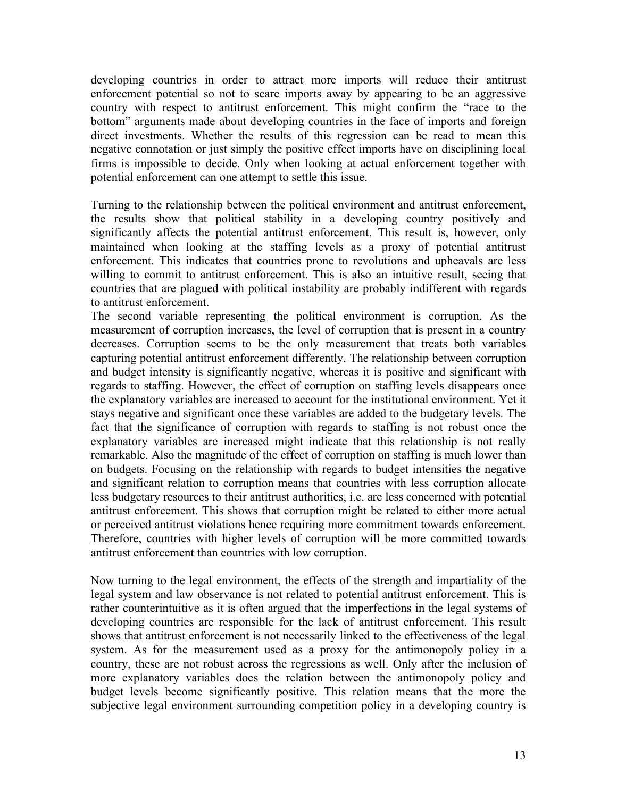developing countries in order to attract more imports will reduce their antitrust enforcement potential so not to scare imports away by appearing to be an aggressive country with respect to antitrust enforcement. This might confirm the "race to the bottom" arguments made about developing countries in the face of imports and foreign direct investments. Whether the results of this regression can be read to mean this negative connotation or just simply the positive effect imports have on disciplining local firms is impossible to decide. Only when looking at actual enforcement together with potential enforcement can one attempt to settle this issue.

Turning to the relationship between the political environment and antitrust enforcement, the results show that political stability in a developing country positively and significantly affects the potential antitrust enforcement. This result is, however, only maintained when looking at the staffing levels as a proxy of potential antitrust enforcement. This indicates that countries prone to revolutions and upheavals are less willing to commit to antitrust enforcement. This is also an intuitive result, seeing that countries that are plagued with political instability are probably indifferent with regards to antitrust enforcement.

The second variable representing the political environment is corruption. As the measurement of corruption increases, the level of corruption that is present in a country decreases. Corruption seems to be the only measurement that treats both variables capturing potential antitrust enforcement differently. The relationship between corruption and budget intensity is significantly negative, whereas it is positive and significant with regards to staffing. However, the effect of corruption on staffing levels disappears once the explanatory variables are increased to account for the institutional environment. Yet it stays negative and significant once these variables are added to the budgetary levels. The fact that the significance of corruption with regards to staffing is not robust once the explanatory variables are increased might indicate that this relationship is not really remarkable. Also the magnitude of the effect of corruption on staffing is much lower than on budgets. Focusing on the relationship with regards to budget intensities the negative and significant relation to corruption means that countries with less corruption allocate less budgetary resources to their antitrust authorities, i.e. are less concerned with potential antitrust enforcement. This shows that corruption might be related to either more actual or perceived antitrust violations hence requiring more commitment towards enforcement. Therefore, countries with higher levels of corruption will be more committed towards antitrust enforcement than countries with low corruption.

Now turning to the legal environment, the effects of the strength and impartiality of the legal system and law observance is not related to potential antitrust enforcement. This is rather counterintuitive as it is often argued that the imperfections in the legal systems of developing countries are responsible for the lack of antitrust enforcement. This result shows that antitrust enforcement is not necessarily linked to the effectiveness of the legal system. As for the measurement used as a proxy for the antimonopoly policy in a country, these are not robust across the regressions as well. Only after the inclusion of more explanatory variables does the relation between the antimonopoly policy and budget levels become significantly positive. This relation means that the more the subjective legal environment surrounding competition policy in a developing country is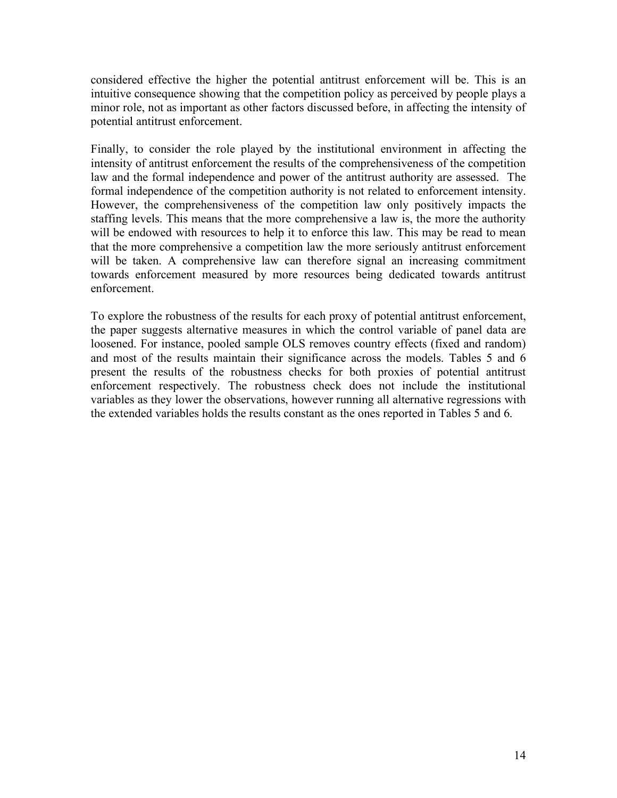considered effective the higher the potential antitrust enforcement will be. This is an intuitive consequence showing that the competition policy as perceived by people plays a minor role, not as important as other factors discussed before, in affecting the intensity of potential antitrust enforcement.

Finally, to consider the role played by the institutional environment in affecting the intensity of antitrust enforcement the results of the comprehensiveness of the competition law and the formal independence and power of the antitrust authority are assessed. The formal independence of the competition authority is not related to enforcement intensity. However, the comprehensiveness of the competition law only positively impacts the staffing levels. This means that the more comprehensive a law is, the more the authority will be endowed with resources to help it to enforce this law. This may be read to mean that the more comprehensive a competition law the more seriously antitrust enforcement will be taken. A comprehensive law can therefore signal an increasing commitment towards enforcement measured by more resources being dedicated towards antitrust enforcement.

To explore the robustness of the results for each proxy of potential antitrust enforcement, the paper suggests alternative measures in which the control variable of panel data are loosened. For instance, pooled sample OLS removes country effects (fixed and random) and most of the results maintain their significance across the models. Tables 5 and 6 present the results of the robustness checks for both proxies of potential antitrust enforcement respectively. The robustness check does not include the institutional variables as they lower the observations, however running all alternative regressions with the extended variables holds the results constant as the ones reported in Tables 5 and 6.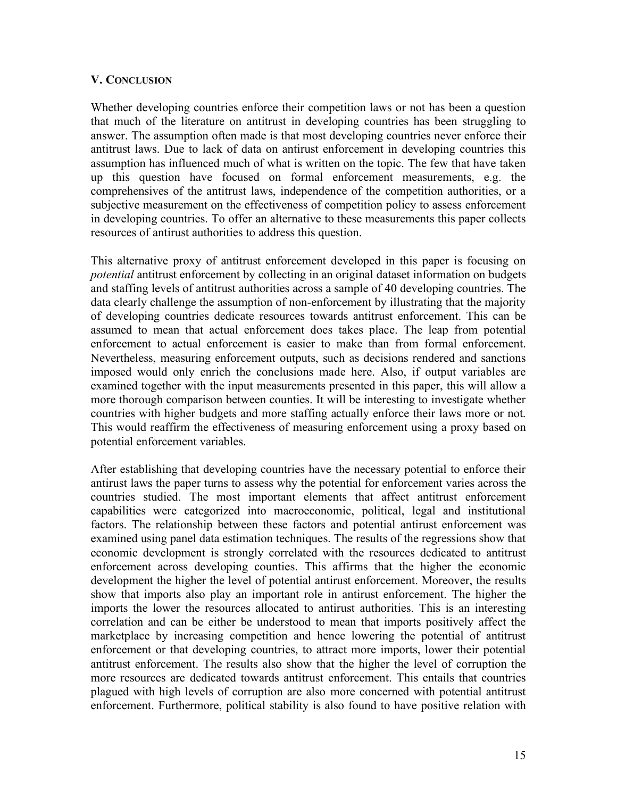### **V. CONCLUSION**

Whether developing countries enforce their competition laws or not has been a question that much of the literature on antitrust in developing countries has been struggling to answer. The assumption often made is that most developing countries never enforce their antitrust laws. Due to lack of data on antirust enforcement in developing countries this assumption has influenced much of what is written on the topic. The few that have taken up this question have focused on formal enforcement measurements, e.g. the comprehensives of the antitrust laws, independence of the competition authorities, or a subjective measurement on the effectiveness of competition policy to assess enforcement in developing countries. To offer an alternative to these measurements this paper collects resources of antirust authorities to address this question.

This alternative proxy of antitrust enforcement developed in this paper is focusing on *potential* antitrust enforcement by collecting in an original dataset information on budgets and staffing levels of antitrust authorities across a sample of 40 developing countries. The data clearly challenge the assumption of non-enforcement by illustrating that the majority of developing countries dedicate resources towards antitrust enforcement. This can be assumed to mean that actual enforcement does takes place. The leap from potential enforcement to actual enforcement is easier to make than from formal enforcement. Nevertheless, measuring enforcement outputs, such as decisions rendered and sanctions imposed would only enrich the conclusions made here. Also, if output variables are examined together with the input measurements presented in this paper, this will allow a more thorough comparison between counties. It will be interesting to investigate whether countries with higher budgets and more staffing actually enforce their laws more or not. This would reaffirm the effectiveness of measuring enforcement using a proxy based on potential enforcement variables.

After establishing that developing countries have the necessary potential to enforce their antirust laws the paper turns to assess why the potential for enforcement varies across the countries studied. The most important elements that affect antitrust enforcement capabilities were categorized into macroeconomic, political, legal and institutional factors. The relationship between these factors and potential antirust enforcement was examined using panel data estimation techniques. The results of the regressions show that economic development is strongly correlated with the resources dedicated to antitrust enforcement across developing counties. This affirms that the higher the economic development the higher the level of potential antirust enforcement. Moreover, the results show that imports also play an important role in antirust enforcement. The higher the imports the lower the resources allocated to antirust authorities. This is an interesting correlation and can be either be understood to mean that imports positively affect the marketplace by increasing competition and hence lowering the potential of antitrust enforcement or that developing countries, to attract more imports, lower their potential antitrust enforcement. The results also show that the higher the level of corruption the more resources are dedicated towards antitrust enforcement. This entails that countries plagued with high levels of corruption are also more concerned with potential antitrust enforcement. Furthermore, political stability is also found to have positive relation with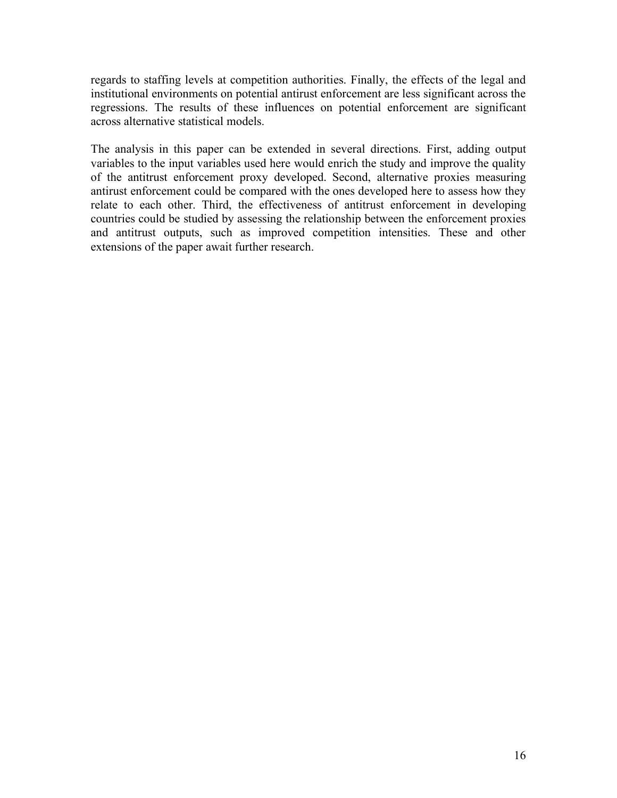regards to staffing levels at competition authorities. Finally, the effects of the legal and institutional environments on potential antirust enforcement are less significant across the regressions. The results of these influences on potential enforcement are significant across alternative statistical models.

The analysis in this paper can be extended in several directions. First, adding output variables to the input variables used here would enrich the study and improve the quality of the antitrust enforcement proxy developed. Second, alternative proxies measuring antirust enforcement could be compared with the ones developed here to assess how they relate to each other. Third, the effectiveness of antitrust enforcement in developing countries could be studied by assessing the relationship between the enforcement proxies and antitrust outputs, such as improved competition intensities. These and other extensions of the paper await further research.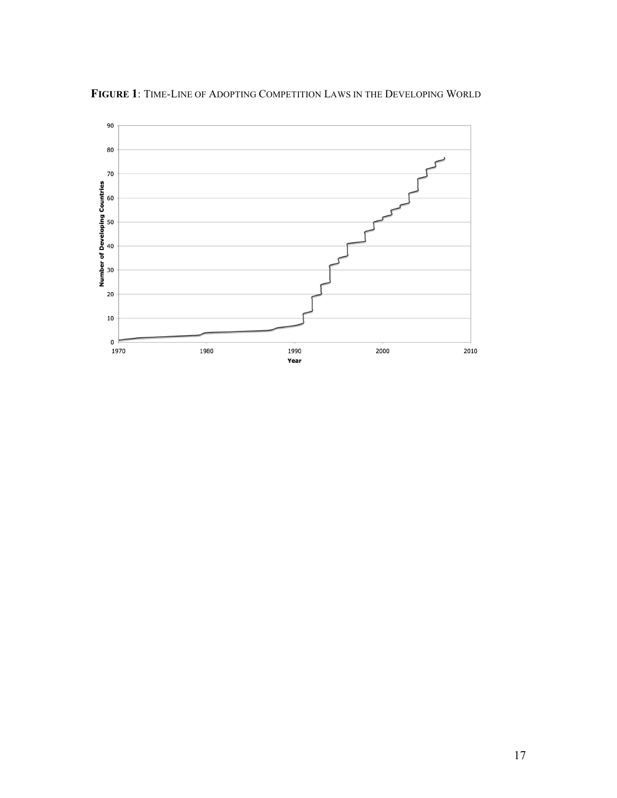

**FIGURE 1**: TIME-LINE OF ADOPTING COMPETITION LAWS IN THE DEVELOPING WORLD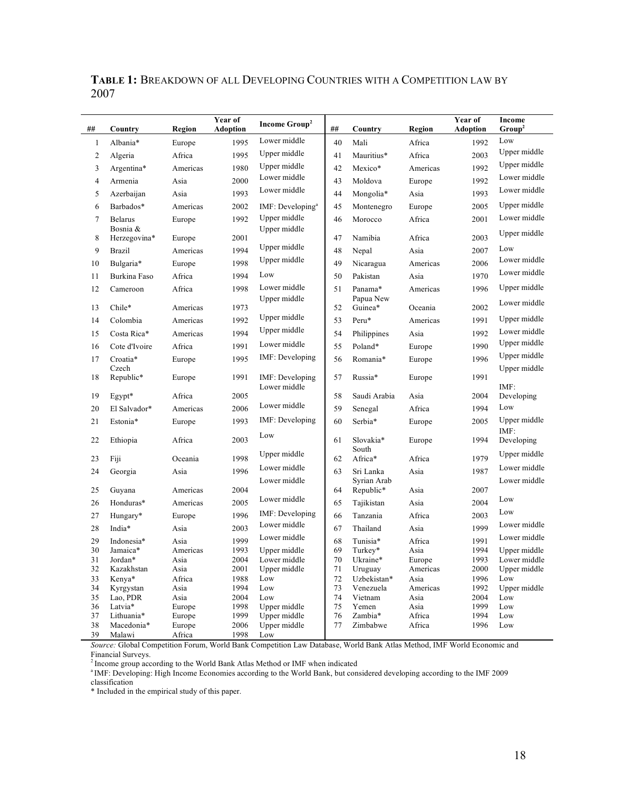| ##             | Country             | Region         | Year of<br><b>Adoption</b> | <b>Income Group<sup>2</sup></b> | ##       | Country                  | Region           | Year of<br><b>Adoption</b> | <b>Income</b><br>Group <sup>2</sup> |
|----------------|---------------------|----------------|----------------------------|---------------------------------|----------|--------------------------|------------------|----------------------------|-------------------------------------|
| 1              | Albania*            | Europe         | 1995                       | Lower middle                    | 40       | Mali                     | Africa           | 1992                       | Low                                 |
| $\overline{c}$ | Algeria             | Africa         | 1995                       | Upper middle                    | 41       | Mauritius*               | Africa           | 2003                       | Upper middle                        |
| 3              | Argentina*          | Americas       | 1980                       | Upper middle                    | 42       | Mexico*                  | Americas         | 1992                       | Upper middle                        |
| 4              | Armenia             | Asia           | 2000                       | Lower middle                    | 43       | Moldova                  | Europe           | 1992                       | Lower middle                        |
| 5              | Azerbaijan          | Asia           | 1993                       | Lower middle                    | 44       | Mongolia*                | Asia             | 1993                       | Lower middle                        |
| 6              | Barbados*           | Americas       | 2002                       | IMF: Developing $a$             | 45       | Montenegro               | Europe           | 2005                       | Upper middle                        |
| 7              | <b>Belarus</b>      | Europe         | 1992                       | Upper middle                    | 46       | Morocco                  | Africa           | 2001                       | Lower middle                        |
|                | Bosnia &            |                |                            | Upper middle                    |          |                          |                  |                            | Upper middle                        |
| 8              | Herzegovina*        | Europe         | 2001                       | Upper middle                    | 47       | Namibia                  | Africa           | 2003                       | Low                                 |
| 9              | Brazil              | Americas       | 1994                       | Upper middle                    | 48       | Nepal                    | Asia             | 2007                       | Lower middle                        |
| 10             | Bulgaria*           | Europe         | 1998                       |                                 | 49       | Nicaragua                | Americas         | 2006                       | Lower middle                        |
| 11             | Burkina Faso        | Africa         | 1994                       | Low                             | 50       | Pakistan                 | Asia             | 1970                       |                                     |
| 12             | Cameroon            | Africa         | 1998                       | Lower middle                    | 51       | Panama*                  | Americas         | 1996                       | Upper middle                        |
| 13             | Chile*              | Americas       | 1973                       | Upper middle                    | 52       | Papua New<br>Guinea*     | Oceania          | 2002                       | Lower middle                        |
| 14             | Colombia            | Americas       | 1992                       | Upper middle                    | 53       | Peru*                    | Americas         | 1991                       | Upper middle                        |
| 15             | Costa Rica*         | Americas       | 1994                       | Upper middle                    | 54       | Philippines              | Asia             | 1992                       | Lower middle                        |
| 16             | Cote d'Ivoire       | Africa         | 1991                       | Lower middle                    | 55       | Poland*                  | Europe           | 1990                       | Upper middle                        |
| 17             | Croatia*<br>Czech   | Europe         | 1995                       | IMF: Developing                 | 56       | Romania*                 | Europe           | 1996                       | Upper middle<br>Upper middle        |
| 18             | Republic*           | Europe         | 1991                       | IMF: Developing                 | 57       | Russia*                  | Europe           | 1991                       |                                     |
| 19             | Egypt*              | Africa         | 2005                       | Lower middle                    | 58       | Saudi Arabia             | Asia             | 2004                       | $IMF$ :<br>Developing               |
| 20             | El Salvador*        | Americas       | 2006                       | Lower middle                    | 59       | Senegal                  | Africa           | 1994                       | Low                                 |
| 21             | Estonia*            | Europe         | 1993                       | IMF: Developing                 | 60       | Serbia*                  | Europe           | 2005                       | Upper middle                        |
|                |                     |                |                            | Low                             |          |                          |                  |                            | $IMF$ :                             |
| 22             | Ethiopia            | Africa         | 2003                       |                                 | 61       | Slovakia*                | Europe           | 1994                       | Developing                          |
| 23             | Fiji                | Oceania        | 1998                       | Upper middle                    | 62       | South<br>Africa*         | Africa           | 1979                       | Upper middle                        |
| 24             | Georgia             | Asia           | 1996                       | Lower middle                    | 63       | Sri Lanka                | Asia             | 1987                       | Lower middle                        |
|                |                     |                |                            | Lower middle                    |          | Syrian Arab              |                  |                            | Lower middle                        |
| 25             | Guyana              | Americas       | 2004                       |                                 | 64       | Republic*                | Asia             | 2007                       |                                     |
| 26             | Honduras*           | Americas       | 2005                       | Lower middle                    | 65       | Tajikistan               | Asia             | 2004                       | Low                                 |
| 27             | Hungary*            | Europe         | 1996                       | IMF: Developing                 | 66       | Tanzania                 | Africa           | 2003                       | Low                                 |
| 28             | India*              | Asia           | 2003                       | Lower middle                    | 67       | Thailand                 | Asia             | 1999                       | Lower middle                        |
| 29             | Indonesia*          | Asia           | 1999                       | Lower middle                    | 68       | Tunisia*                 | Africa           | 1991                       | Lower middle                        |
| 30             | Jamaica*            | Americas       | 1993                       | Upper middle                    | 69       | Turkey*                  | Asia             | 1994                       | Upper middle                        |
| 31             | Jordan*             | Asia           | 2004                       | Lower middle                    | 70       | Ukraine*                 | Europe           | 1993                       | Lower middle                        |
| 32             | Kazakhstan          | Asia           | 2001                       | Upper middle<br>Low             | 71<br>72 | Uruguay                  | Americas         | 2000                       | Upper middle<br>Low                 |
| 33<br>34       | Kenya*<br>Kyrgystan | Africa<br>Asia | 1988<br>1994               | Low                             | 73       | Uzbekistan*<br>Venezuela | Asia<br>Americas | 1996<br>1992               | Upper middle                        |
| 35             | Lao, PDR            | Asia           | 2004                       | Low                             | 74       | Vietnam                  | Asia             | 2004                       | Low                                 |
| 36             | Latvia*             | Europe         | 1998                       | Upper middle                    | 75       | Yemen                    | Asia             | 1999                       | Low                                 |
| 37             | Lithuania*          | Europe         | 1999                       | Upper middle                    | 76       | Zambia*                  | Africa           | 1994                       | Low                                 |
| 38             | Macedonia*          | Europe         | 2006                       | Upper middle                    | 77       | Zimbabwe                 | Africa           | 1996                       | Low                                 |
| 39             | Malawi              | Africa         | 1998                       | Low                             |          |                          |                  |                            |                                     |

**TABLE 1:** BREAKDOWN OF ALL DEVELOPING COUNTRIES WITH A COMPETITION LAW BY 2007

*Source:* Global Competition Forum, World Bank Competition Law Database, World Bank Atlas Method, IMF World Economic and Financial Surveys.

 $2$ Income group according to the World Bank Atlas Method or IMF when indicated

a IMF: Developing: High Income Economies according to the World Bank, but considered developing according to the IMF 2009 classification

\* Included in the empirical study of this paper.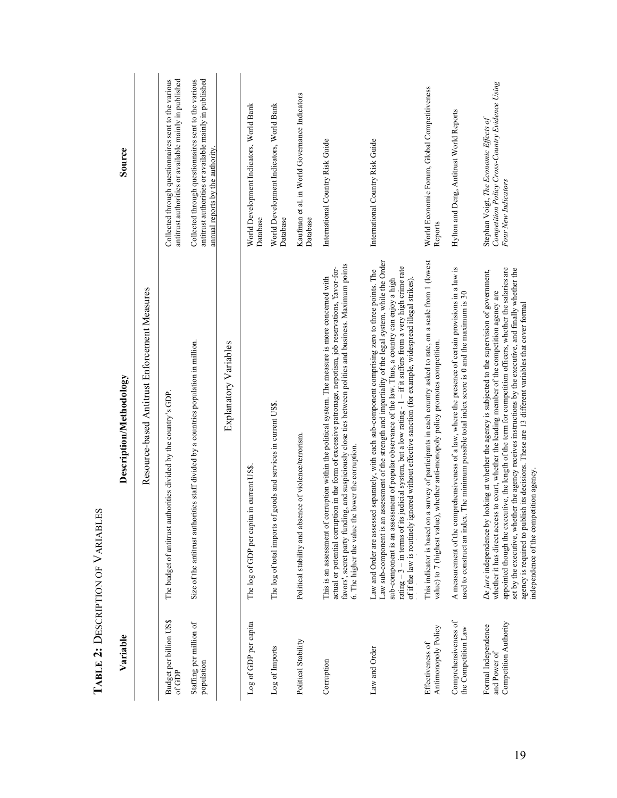| Source                  |                                               | antitrust authorities or available mainly in published<br>Collected through questionnaires sent to the various | Collected through questionnaires sent to the various<br>antitrust authorities or available mainly in published<br>annual reports by the authority |                       | World Development Indicators, World Bank<br>Database | World Development Indicators, World Bank<br>Database               | Kaufman et al. in World Governance Indicators<br>Database | International Country Risk Guide                                                                                                                                                                                                                                                                                                                                                   | International Country Risk Guide                                                                                                                                                                                                                                                                                                                                                                                                                                                                                                                        | World Economic Forum, Global Competitiveness<br>Reports                                                                                                                                         | Hylton and Deng, Antitrust World Reports                                                                                                                                                               | Competition Policy Cross-Country Evidence Using<br>Stephan Voigt, The Economic Effects of<br>Four New Indicators                                                                                                                                                                                                                                                                                                                                                                                                                                                               |
|-------------------------|-----------------------------------------------|----------------------------------------------------------------------------------------------------------------|---------------------------------------------------------------------------------------------------------------------------------------------------|-----------------------|------------------------------------------------------|--------------------------------------------------------------------|-----------------------------------------------------------|------------------------------------------------------------------------------------------------------------------------------------------------------------------------------------------------------------------------------------------------------------------------------------------------------------------------------------------------------------------------------------|---------------------------------------------------------------------------------------------------------------------------------------------------------------------------------------------------------------------------------------------------------------------------------------------------------------------------------------------------------------------------------------------------------------------------------------------------------------------------------------------------------------------------------------------------------|-------------------------------------------------------------------------------------------------------------------------------------------------------------------------------------------------|--------------------------------------------------------------------------------------------------------------------------------------------------------------------------------------------------------|--------------------------------------------------------------------------------------------------------------------------------------------------------------------------------------------------------------------------------------------------------------------------------------------------------------------------------------------------------------------------------------------------------------------------------------------------------------------------------------------------------------------------------------------------------------------------------|
| Description/Methodology | Resource-based Antitrust Enforcement Measures | The budget of antitrust authorities divided by the country's GDP.                                              | Size of the antitrust authorities staff divided by a countries population in million.                                                             | Explanatory Variables | The log of GDP per capita in current US\$            | of goods and services in current US\$.<br>The log of total imports | Political stability and absence of violence/terrorism.    | favors', secret party funding, and suspiciously close ties between politics and business. Maximum points<br>actual or potential corruption in the form of excessive patronage, nepotism, job reservations, 'favor-for-<br>This is an assessment of corruption within the political system. The measure is more concerned with<br>6. The higher the value the lower the corruption. | Law sub-component is an assessment of the strength and impartiality of the legal system, while the Order<br>rating $-3$ – in terms of its judicial system, but a low rating $-1$ – if it suffers from a very high crime rate<br>Law and Order are assessed separately, with each sub-component comprising zero to three points. The<br>sub-component is an assessment of popular observance of the law. Thus, a country can enjoy a high<br>ignored without effective sanction (for example, widespread illegal strikes).<br>of if the law is routinely | This indicator is based on a survey of participants in each country asked to rate, on a scale from 1 (lowest<br>value) to 7 (highest value), whether anti-monopoly policy promotes competition. | A measurement of the comprehensiveness of a law, where the presence of certain provisions in a law is<br>used to construct an index. The minimum possible total index score is 0 and the maximum is 30 | appointed though the executive, the length of the term for competition officers, whether the salaries are<br>set by the executive, whether the agency receives instructions by the executive, and finally whether the<br>De jure independence by looking at whether the agency is subjected to the supervision of government,<br>whether it has direct access to court, whether the leading member of the competition agency are<br>agency is required to publish its decisions. These are 13 different variables that cover formal<br>independence of the competition agency. |
| Variable                |                                               | <b>Budget per billion US\$</b><br>of GDP                                                                       | Staffing per million of<br>population                                                                                                             |                       | Log of GDP per capita                                | Log of Imports                                                     | Political Stability                                       | Corruption                                                                                                                                                                                                                                                                                                                                                                         | Law and Order                                                                                                                                                                                                                                                                                                                                                                                                                                                                                                                                           | Antimonopoly Policy<br>Effectiveness of                                                                                                                                                         | Comprehensiveness of<br>the Competition Law                                                                                                                                                            | Competition Authority<br>Formal Independence<br>and Power of                                                                                                                                                                                                                                                                                                                                                                                                                                                                                                                   |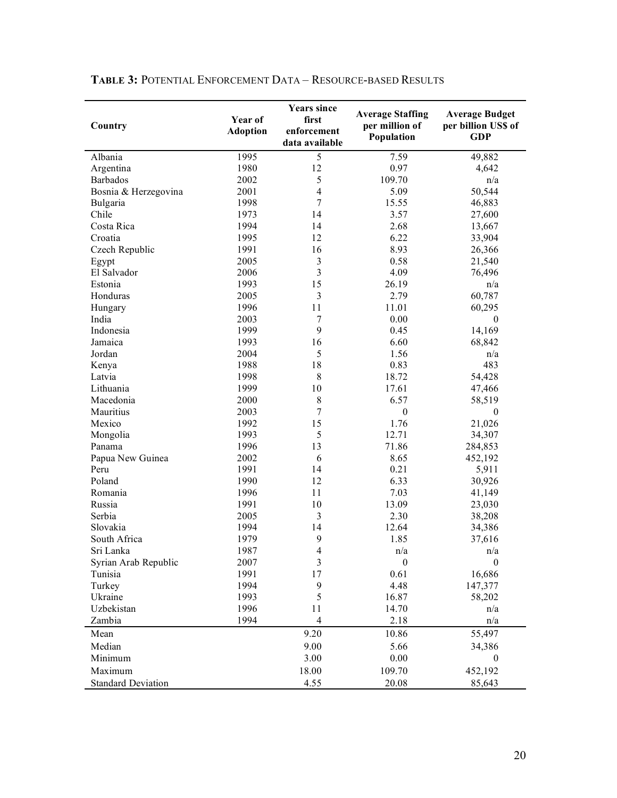| Country                   | Year of<br><b>Adoption</b> | <b>Years since</b><br>first<br>enforcement<br>data available | <b>Average Staffing</b><br>per million of<br>Population | <b>Average Budget</b><br>per billion US\$ of<br><b>GDP</b> |
|---------------------------|----------------------------|--------------------------------------------------------------|---------------------------------------------------------|------------------------------------------------------------|
| Albania                   | 1995                       | 5                                                            | 7.59                                                    | 49,882                                                     |
| Argentina                 | 1980                       | 12                                                           | 0.97                                                    | 4,642                                                      |
| Barbados                  | 2002                       | 5                                                            | 109.70                                                  | n/a                                                        |
| Bosnia & Herzegovina      | 2001                       | $\overline{4}$                                               | 5.09                                                    | 50,544                                                     |
| Bulgaria                  | 1998                       | $\overline{7}$                                               | 15.55                                                   | 46,883                                                     |
| Chile                     | 1973                       | 14                                                           | 3.57                                                    | 27,600                                                     |
| Costa Rica                | 1994                       | 14                                                           | 2.68                                                    | 13,667                                                     |
| Croatia                   | 1995                       | 12                                                           | 6.22                                                    | 33,904                                                     |
| Czech Republic            | 1991                       | 16                                                           | 8.93                                                    | 26,366                                                     |
| Egypt                     | 2005                       | 3                                                            | 0.58                                                    | 21,540                                                     |
| El Salvador               | 2006                       | 3                                                            | 4.09                                                    | 76,496                                                     |
| Estonia                   | 1993                       | 15                                                           | 26.19                                                   | n/a                                                        |
| Honduras                  | 2005                       | 3                                                            | 2.79                                                    | 60,787                                                     |
| Hungary                   | 1996                       | 11                                                           | 11.01                                                   | 60,295                                                     |
| India                     | 2003                       | $\tau$                                                       | 0.00                                                    | $\boldsymbol{0}$                                           |
| Indonesia                 | 1999                       | 9                                                            | 0.45                                                    | 14,169                                                     |
| Jamaica                   | 1993                       | 16                                                           | 6.60                                                    | 68,842                                                     |
| Jordan                    | 2004                       | 5                                                            | 1.56                                                    | n/a                                                        |
| Kenya                     | 1988                       | 18                                                           | 0.83                                                    | 483                                                        |
| Latvia                    | 1998                       | $\,8\,$                                                      | 18.72                                                   | 54,428                                                     |
| Lithuania                 | 1999                       | 10                                                           | 17.61                                                   | 47,466                                                     |
| Macedonia                 | 2000                       | $\,8\,$                                                      | 6.57                                                    | 58,519                                                     |
| Mauritius                 | 2003                       | 7                                                            | $\boldsymbol{0}$                                        | 0                                                          |
| Mexico                    | 1992                       | 15                                                           | 1.76                                                    | 21,026                                                     |
| Mongolia                  | 1993                       | 5                                                            | 12.71                                                   | 34,307                                                     |
| Panama                    | 1996                       | 13                                                           | 71.86                                                   | 284,853                                                    |
| Papua New Guinea          | 2002                       | 6                                                            | 8.65                                                    | 452,192                                                    |
| Peru                      | 1991                       | 14                                                           | 0.21                                                    | 5,911                                                      |
| Poland                    | 1990                       | 12                                                           | 6.33                                                    | 30,926                                                     |
| Romania                   | 1996                       | 11                                                           | 7.03                                                    | 41,149                                                     |
| Russia                    | 1991                       | 10                                                           | 13.09                                                   | 23,030                                                     |
| Serbia                    | 2005                       | 3                                                            | 2.30                                                    | 38,208                                                     |
| Slovakia                  | 1994                       | 14                                                           | 12.64                                                   | 34,386                                                     |
| South Africa              | 1979                       | 9                                                            | 1.85                                                    | 37,616                                                     |
| Sri Lanka                 | 1987                       | 4                                                            | n/a                                                     | n/a                                                        |
| Syrian Arab Republic      | 2007                       | $\mathfrak{Z}$                                               | $\boldsymbol{0}$                                        | $\boldsymbol{0}$                                           |
| Tunisia                   | 1991                       | 17                                                           | 0.61                                                    | 16,686                                                     |
| Turkey                    | 1994                       | 9                                                            | 4.48                                                    | 147,377                                                    |
| Ukraine                   | 1993                       | 5                                                            | 16.87                                                   | 58,202                                                     |
| Uzbekistan                | 1996                       | 11                                                           | 14.70                                                   | n/a                                                        |
| Zambia                    | 1994                       | 4                                                            | 2.18                                                    | n/a                                                        |
| Mean                      |                            | 9.20                                                         | 10.86                                                   | 55,497                                                     |
| Median                    |                            | 9.00                                                         | 5.66                                                    | 34,386                                                     |
| Minimum                   |                            | 3.00                                                         | 0.00                                                    | 0                                                          |
| Maximum                   |                            | 18.00                                                        | 109.70                                                  | 452,192                                                    |
| <b>Standard Deviation</b> |                            | 4.55                                                         | 20.08                                                   | 85,643                                                     |

## **TABLE 3:** POTENTIAL ENFORCEMENT DATA – RESOURCE-BASED RESULTS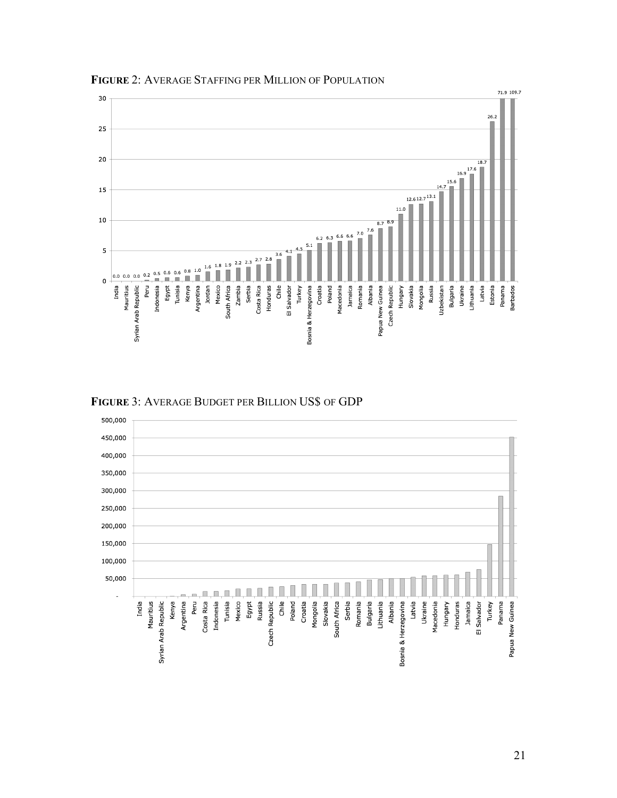

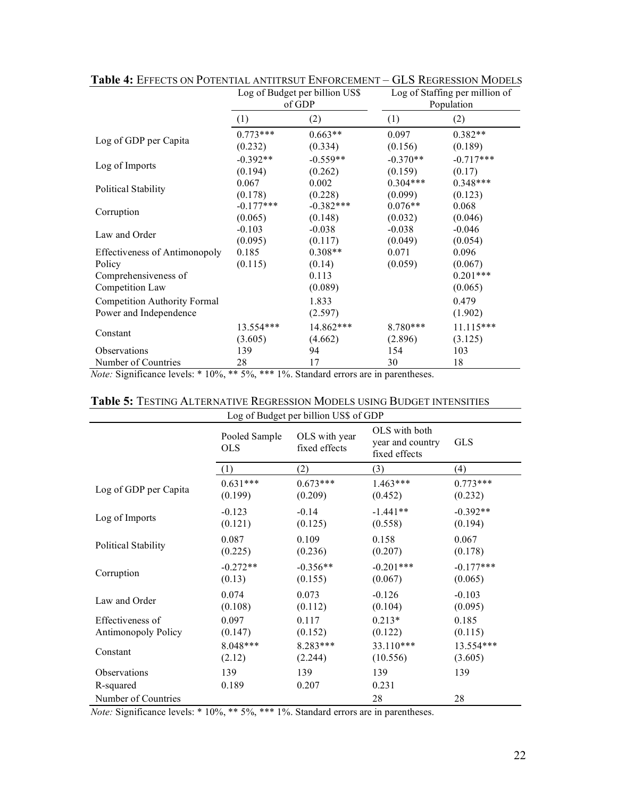|                                                                                           |                  | Log of Budget per billion US\$<br>of GDP | Log of Staffing per million of<br>Population |                                           |  |
|-------------------------------------------------------------------------------------------|------------------|------------------------------------------|----------------------------------------------|-------------------------------------------|--|
|                                                                                           | (1)              | (2)                                      | (1)                                          | (2)                                       |  |
| Log of GDP per Capita                                                                     | $0.773***$       | $0.663**$                                | 0.097                                        | $0.382**$                                 |  |
|                                                                                           | (0.232)          | (0.334)                                  | (0.156)                                      | (0.189)                                   |  |
| Log of Imports                                                                            | $-0.392**$       | $-0.559**$                               | $-0.370**$                                   | $-0.717***$                               |  |
|                                                                                           | (0.194)          | (0.262)                                  | (0.159)                                      | (0.17)                                    |  |
| <b>Political Stability</b>                                                                | 0.067            | 0.002                                    | $0.304***$                                   | $0.348***$                                |  |
|                                                                                           | (0.178)          | (0.228)                                  | (0.099)                                      | (0.123)                                   |  |
| Corruption                                                                                | $-0.177***$      | $-0.382***$                              | $0.076**$                                    | 0.068                                     |  |
|                                                                                           | (0.065)          | (0.148)                                  | (0.032)                                      | (0.046)                                   |  |
| Law and Order                                                                             | $-0.103$         | $-0.038$                                 | $-0.038$                                     | $-0.046$                                  |  |
|                                                                                           | (0.095)          | (0.117)                                  | (0.049)                                      | (0.054)                                   |  |
| <b>Effectiveness of Antimonopoly</b><br>Policy<br>Comprehensiveness of<br>Competition Law | 0.185<br>(0.115) | $0.308**$<br>(0.14)<br>0.113<br>(0.089)  | 0.071<br>(0.059)                             | 0.096<br>(0.067)<br>$0.201***$<br>(0.065) |  |
| <b>Competition Authority Formal</b><br>Power and Independence                             |                  | 1.833<br>(2.597)                         |                                              | 0.479<br>(1.902)                          |  |
| Constant                                                                                  | 13.554***        | 14.862***                                | 8.780***                                     | $11.115***$                               |  |
|                                                                                           | (3.605)          | (4.662)                                  | (2.896)                                      | (3.125)                                   |  |
| Observations                                                                              | 139              | 94                                       | 154                                          | 103                                       |  |
| Number of Countries                                                                       | 28               | 17                                       | 30                                           | 18                                        |  |

**Table 4:** EFFECTS ON POTENTIAL ANTITRSUT ENFORCEMENT – GLS REGRESSION MODELS

*Note:* Significance levels: \* 10%, \*\* 5%, \*\*\* 1%. Standard errors are in parentheses.

| Log of Budget per billion US\$ of GDP |                             |                                |                                                    |             |  |  |  |
|---------------------------------------|-----------------------------|--------------------------------|----------------------------------------------------|-------------|--|--|--|
|                                       | Pooled Sample<br><b>OLS</b> | OLS with year<br>fixed effects | OLS with both<br>year and country<br>fixed effects | <b>GLS</b>  |  |  |  |
|                                       | (1)                         | (2)                            | (3)                                                | (4)         |  |  |  |
| Log of GDP per Capita                 | $0.631***$                  | $0.673***$                     | $1.463***$                                         | $0.773***$  |  |  |  |
|                                       | (0.199)                     | (0.209)                        | (0.452)                                            | (0.232)     |  |  |  |
| Log of Imports                        | $-0.123$                    | $-0.14$                        | $-1.441**$                                         | $-0.392**$  |  |  |  |
|                                       | (0.121)                     | (0.125)                        | (0.558)                                            | (0.194)     |  |  |  |
| <b>Political Stability</b>            | 0.087                       | 0.109                          | 0.158                                              | 0.067       |  |  |  |
|                                       | (0.225)                     | (0.236)                        | (0.207)                                            | (0.178)     |  |  |  |
| Corruption                            | $-0.272**$                  | $-0.356**$                     | $-0.201***$                                        | $-0.177***$ |  |  |  |
|                                       | (0.13)                      | (0.155)                        | (0.067)                                            | (0.065)     |  |  |  |
| Law and Order                         | 0.074                       | 0.073                          | $-0.126$                                           | $-0.103$    |  |  |  |
|                                       | (0.108)                     | (0.112)                        | (0.104)                                            | (0.095)     |  |  |  |
| Effectiveness of                      | 0.097                       | 0.117                          | $0.213*$                                           | 0.185       |  |  |  |
| <b>Antimonopoly Policy</b>            | (0.147)                     | (0.152)                        | (0.122)                                            | (0.115)     |  |  |  |
| Constant                              | 8.048***                    | 8.283***                       | 33.110***                                          | 13.554***   |  |  |  |
|                                       | (2.12)                      | (2.244)                        | (10.556)                                           | (3.605)     |  |  |  |
| <b>Observations</b>                   | 139                         | 139                            | 139                                                | 139         |  |  |  |
| R-squared                             | 0.189                       | 0.207                          | 0.231                                              |             |  |  |  |
| Number of Countries                   |                             |                                | 28                                                 | 28          |  |  |  |

#### **Table 5:** TESTING ALTERNATIVE REGRESSION MODELS USING BUDGET INTENSITIES

*Note:* Significance levels: \* 10%, \*\* 5%, \*\*\* 1%. Standard errors are in parentheses.